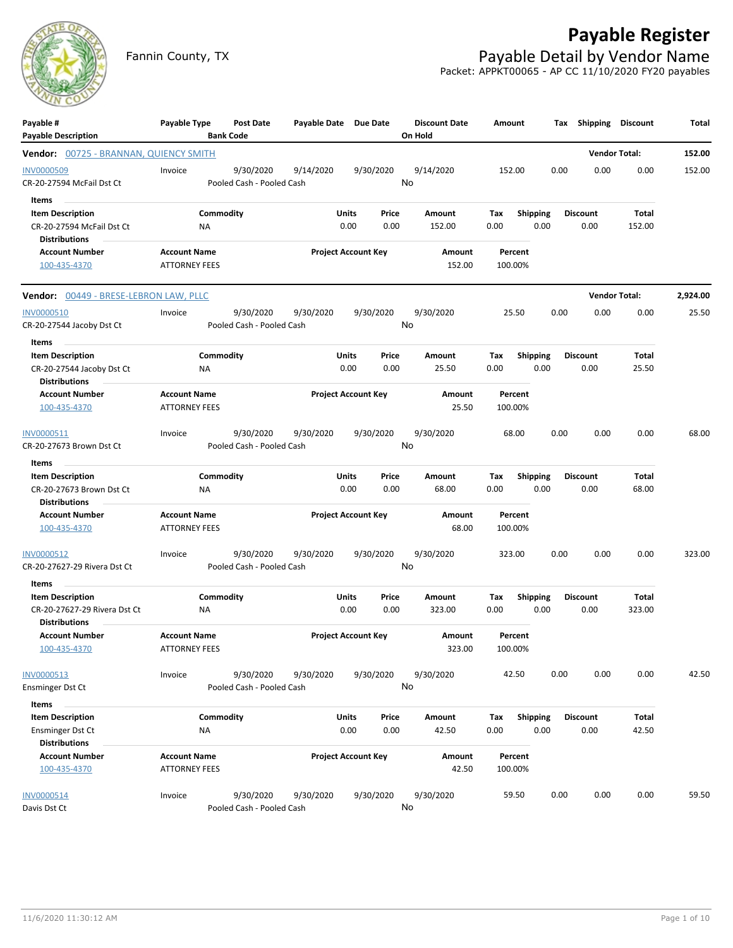

## **Payable Register**

Fannin County, TX **Payable Detail by Vendor Name** Packet: APPKT00065 - AP CC 11/10/2020 FY20 payables

| Payable #<br><b>Payable Description</b>                                                         | Payable Type                                | Post Date<br><b>Bank Code</b>          | Payable Date Due Date |                            |               | <b>Discount Date</b><br>On Hold | Amount             |                         |      | Tax Shipping Discount   |                 | Total    |
|-------------------------------------------------------------------------------------------------|---------------------------------------------|----------------------------------------|-----------------------|----------------------------|---------------|---------------------------------|--------------------|-------------------------|------|-------------------------|-----------------|----------|
| <b>Vendor:</b> 00725 - BRANNAN, QUIENCY SMITH                                                   |                                             |                                        |                       |                            |               |                                 |                    |                         |      | <b>Vendor Total:</b>    |                 | 152.00   |
| <b>INV0000509</b><br>CR-20-27594 McFail Dst Ct                                                  | Invoice                                     | 9/30/2020<br>Pooled Cash - Pooled Cash | 9/14/2020             | 9/30/2020                  |               | 9/14/2020<br>No                 | 152.00             |                         | 0.00 | 0.00                    | 0.00            | 152.00   |
| Items<br><b>Item Description</b><br>CR-20-27594 McFail Dst Ct<br><b>Distributions</b>           | ΝA                                          | Commodity                              |                       | Units<br>0.00              | Price<br>0.00 | Amount<br>152.00                | Тах<br>0.00        | <b>Shipping</b><br>0.00 |      | <b>Discount</b><br>0.00 | Total<br>152.00 |          |
| <b>Account Number</b><br>100-435-4370                                                           | <b>Account Name</b><br><b>ATTORNEY FEES</b> |                                        |                       | <b>Project Account Key</b> |               | Amount<br>152.00                | Percent<br>100.00% |                         |      |                         |                 |          |
| <b>Vendor:</b> 00449 - BRESE-LEBRON LAW, PLLC                                                   |                                             |                                        |                       |                            |               |                                 |                    |                         |      | <b>Vendor Total:</b>    |                 | 2,924.00 |
| <b>INV0000510</b><br>CR-20-27544 Jacoby Dst Ct                                                  | Invoice                                     | 9/30/2020<br>Pooled Cash - Pooled Cash | 9/30/2020             | 9/30/2020                  |               | 9/30/2020<br>No                 | 25.50              |                         | 0.00 | 0.00                    | 0.00            | 25.50    |
| Items<br>$\sim$<br><b>Item Description</b><br>CR-20-27544 Jacoby Dst Ct<br><b>Distributions</b> | ΝA                                          | Commodity                              |                       | Units<br>0.00              | Price<br>0.00 | Amount<br>25.50                 | Tax<br>0.00        | Shipping<br>0.00        |      | <b>Discount</b><br>0.00 | Total<br>25.50  |          |
| <b>Account Number</b><br>100-435-4370                                                           | <b>Account Name</b><br><b>ATTORNEY FEES</b> |                                        |                       | <b>Project Account Key</b> |               | Amount<br>25.50                 | Percent<br>100.00% |                         |      |                         |                 |          |
| INV0000511<br>CR-20-27673 Brown Dst Ct<br>Items                                                 | Invoice                                     | 9/30/2020<br>Pooled Cash - Pooled Cash | 9/30/2020             | 9/30/2020                  |               | 9/30/2020<br>No                 | 68.00              |                         | 0.00 | 0.00                    | 0.00            | 68.00    |
| <b>Item Description</b><br>CR-20-27673 Brown Dst Ct<br><b>Distributions</b>                     | ΝA                                          | Commodity                              |                       | Units<br>0.00              | Price<br>0.00 | Amount<br>68.00                 | Tax<br>0.00        | <b>Shipping</b><br>0.00 |      | <b>Discount</b><br>0.00 | Total<br>68.00  |          |
| <b>Account Number</b><br>100-435-4370                                                           | <b>Account Name</b><br><b>ATTORNEY FEES</b> |                                        |                       | <b>Project Account Key</b> |               | Amount<br>68.00                 | Percent<br>100.00% |                         |      |                         |                 |          |
| INV0000512<br>CR-20-27627-29 Rivera Dst Ct                                                      | Invoice                                     | 9/30/2020<br>Pooled Cash - Pooled Cash | 9/30/2020             | 9/30/2020                  |               | 9/30/2020<br>No                 | 323.00             |                         | 0.00 | 0.00                    | 0.00            | 323.00   |
| Items<br><b>Item Description</b><br>CR-20-27627-29 Rivera Dst Ct<br><b>Distributions</b>        | NA                                          | Commodity                              |                       | Units<br>0.00              | Price<br>0.00 | Amount<br>323.00                | Tax<br>0.00        | <b>Shipping</b><br>0.00 |      | <b>Discount</b><br>0.00 | Total<br>323.00 |          |
| <b>Account Number</b><br>100-435-4370                                                           | <b>Account Name</b><br><b>ATTORNEY FEES</b> |                                        |                       | <b>Project Account Key</b> |               | Amount<br>323.00                | Percent<br>100.00% |                         |      |                         |                 |          |
| INV0000513<br><b>Ensminger Dst Ct</b>                                                           | Invoice                                     | 9/30/2020<br>Pooled Cash - Pooled Cash | 9/30/2020             | 9/30/2020                  | No            | 9/30/2020                       | 42.50              |                         | 0.00 | 0.00                    | 0.00            | 42.50    |
| Items<br><b>Item Description</b><br><b>Ensminger Dst Ct</b><br><b>Distributions</b>             | NA                                          | Commodity                              |                       | <b>Units</b><br>0.00       | Price<br>0.00 | Amount<br>42.50                 | Tax<br>0.00        | <b>Shipping</b><br>0.00 |      | <b>Discount</b><br>0.00 | Total<br>42.50  |          |
| <b>Account Number</b><br>100-435-4370                                                           | <b>Account Name</b><br><b>ATTORNEY FEES</b> |                                        |                       | <b>Project Account Key</b> |               | Amount<br>42.50                 | Percent<br>100.00% |                         |      |                         |                 |          |
| INV0000514<br>Davis Dst Ct                                                                      | Invoice                                     | 9/30/2020<br>Pooled Cash - Pooled Cash | 9/30/2020             | 9/30/2020                  |               | 9/30/2020<br>No                 | 59.50              |                         | 0.00 | 0.00                    | 0.00            | 59.50    |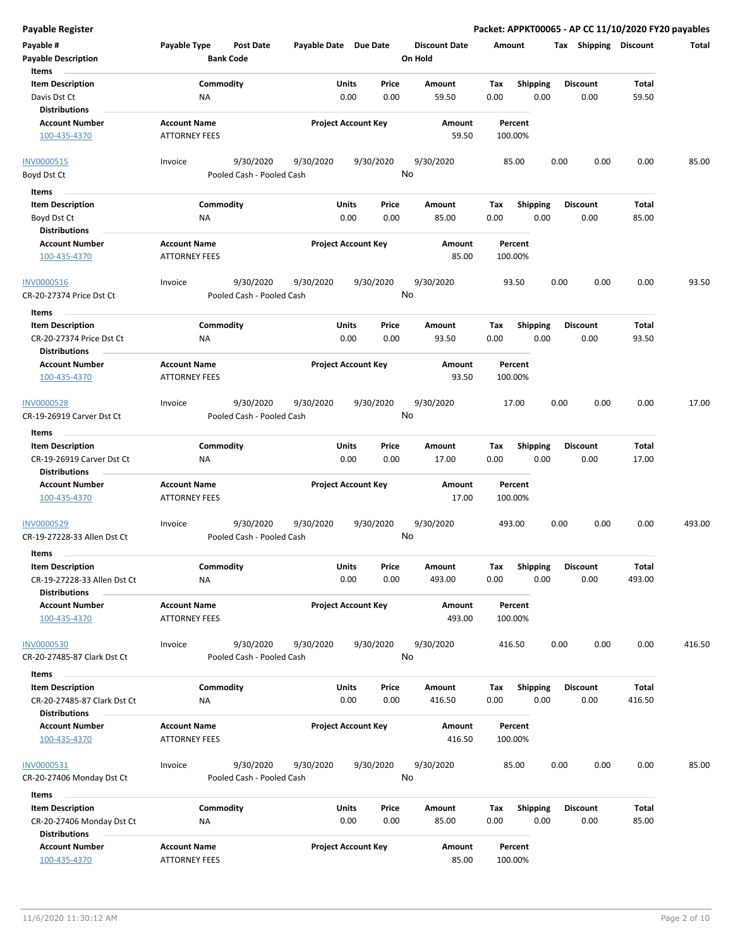**Payable Register Packet: APPKT00065 - AP CC 11/10/2020 FY20 payables**

| Payable #                                              | Payable Type                                | Post Date                              | Payable Date Due Date |                                | <b>Discount Date</b> | Amount             |                         | Tax Shipping            | <b>Discount</b> | Total  |
|--------------------------------------------------------|---------------------------------------------|----------------------------------------|-----------------------|--------------------------------|----------------------|--------------------|-------------------------|-------------------------|-----------------|--------|
| <b>Payable Description</b><br>Items                    |                                             | <b>Bank Code</b>                       |                       |                                | On Hold              |                    |                         |                         |                 |        |
| <b>Item Description</b>                                |                                             | Commodity                              |                       | Price<br>Units                 | Amount               | Tax                | Shipping                | <b>Discount</b>         | Total           |        |
| Davis Dst Ct<br><b>Distributions</b>                   | <b>NA</b>                                   |                                        |                       | 0.00<br>0.00                   | 59.50                | 0.00               | 0.00                    | 0.00                    | 59.50           |        |
| <b>Account Number</b>                                  | <b>Account Name</b>                         |                                        |                       | <b>Project Account Key</b>     | Amount               | Percent            |                         |                         |                 |        |
| 100-435-4370                                           | <b>ATTORNEY FEES</b>                        |                                        |                       |                                | 59.50                | 100.00%            |                         |                         |                 |        |
| <b>INV0000515</b>                                      | Invoice                                     | 9/30/2020                              | 9/30/2020             | 9/30/2020                      | 9/30/2020<br>No      | 85.00              |                         | 0.00<br>0.00            | 0.00            | 85.00  |
| Boyd Dst Ct                                            |                                             | Pooled Cash - Pooled Cash              |                       |                                |                      |                    |                         |                         |                 |        |
| Items                                                  |                                             |                                        |                       |                                |                      |                    |                         |                         |                 |        |
| <b>Item Description</b>                                |                                             | Commodity                              |                       | Units<br>Price                 | Amount               | Tax                | <b>Shipping</b>         | <b>Discount</b>         | Total           |        |
| Boyd Dst Ct                                            | ΝA                                          |                                        |                       | 0.00<br>0.00                   | 85.00                | 0.00               | 0.00                    | 0.00                    | 85.00           |        |
| <b>Distributions</b>                                   |                                             |                                        |                       |                                |                      |                    |                         |                         |                 |        |
| <b>Account Number</b>                                  | <b>Account Name</b>                         |                                        |                       | <b>Project Account Key</b>     | Amount               | Percent            |                         |                         |                 |        |
| 100-435-4370                                           | <b>ATTORNEY FEES</b>                        |                                        |                       |                                | 85.00                | 100.00%            |                         |                         |                 |        |
| INV0000516                                             | Invoice                                     | 9/30/2020                              | 9/30/2020             | 9/30/2020                      | 9/30/2020            | 93.50              |                         | 0.00<br>0.00            | 0.00            | 93.50  |
| CR-20-27374 Price Dst Ct<br>Items                      |                                             | Pooled Cash - Pooled Cash              |                       |                                | No                   |                    |                         |                         |                 |        |
| <b>Item Description</b>                                |                                             | Commodity                              |                       | Units<br>Price                 | Amount               | Tax                | <b>Shipping</b>         | <b>Discount</b>         | Total           |        |
| CR-20-27374 Price Dst Ct<br><b>Distributions</b>       | <b>NA</b>                                   |                                        |                       | 0.00<br>0.00                   | 93.50                | 0.00               | 0.00                    | 0.00                    | 93.50           |        |
| <b>Account Number</b>                                  | <b>Account Name</b>                         |                                        |                       | <b>Project Account Key</b>     | <b>Amount</b>        | Percent            |                         |                         |                 |        |
| 100-435-4370                                           | <b>ATTORNEY FEES</b>                        |                                        |                       |                                | 93.50                | 100.00%            |                         |                         |                 |        |
| <b>INV0000528</b>                                      | Invoice                                     | 9/30/2020                              | 9/30/2020             | 9/30/2020                      | 9/30/2020<br>No      | 17.00              |                         | 0.00<br>0.00            | 0.00            | 17.00  |
| CR-19-26919 Carver Dst Ct                              |                                             | Pooled Cash - Pooled Cash              |                       |                                |                      |                    |                         |                         |                 |        |
| Items<br><b>Item Description</b>                       |                                             | Commodity                              |                       | Units                          |                      |                    |                         | <b>Discount</b>         | Total           |        |
|                                                        |                                             |                                        |                       | Price<br>0.00<br>0.00          | Amount<br>17.00      | Tax<br>0.00        | <b>Shipping</b><br>0.00 | 0.00                    | 17.00           |        |
| CR-19-26919 Carver Dst Ct<br><b>Distributions</b>      | ΝA                                          |                                        |                       |                                |                      |                    |                         |                         |                 |        |
| <b>Account Number</b>                                  | <b>Account Name</b>                         |                                        |                       | <b>Project Account Key</b>     | Amount               | Percent            |                         |                         |                 |        |
| 100-435-4370                                           | <b>ATTORNEY FEES</b>                        |                                        |                       |                                | 17.00                | 100.00%            |                         |                         |                 |        |
| INV0000529<br>CR-19-27228-33 Allen Dst Ct              | Invoice                                     | 9/30/2020<br>Pooled Cash - Pooled Cash | 9/30/2020             | 9/30/2020                      | 9/30/2020<br>No      | 493.00             |                         | 0.00<br>0.00            | 0.00            | 493.00 |
| Items                                                  |                                             |                                        |                       |                                |                      |                    |                         |                         |                 |        |
| <b>Item Description</b><br>CR-19-27228-33 Allen Dst Ct | <b>NA</b>                                   | Commodity                              |                       | Units<br>Price<br>0.00<br>0.00 | Amount<br>493.00     | Tax<br>0.00        | <b>Shipping</b><br>0.00 | <b>Discount</b><br>0.00 | Total<br>493.00 |        |
| <b>Distributions</b><br><b>Account Number</b>          |                                             |                                        |                       |                                |                      |                    |                         |                         |                 |        |
| 100-435-4370                                           | <b>Account Name</b><br><b>ATTORNEY FEES</b> |                                        |                       | <b>Project Account Key</b>     | Amount<br>493.00     | Percent<br>100.00% |                         |                         |                 |        |
| <b>INV0000530</b>                                      | Invoice                                     | 9/30/2020                              | 9/30/2020             | 9/30/2020                      | 9/30/2020            | 416.50             |                         | 0.00<br>0.00            | 0.00            | 416.50 |
| CR-20-27485-87 Clark Dst Ct                            |                                             | Pooled Cash - Pooled Cash              |                       |                                | No                   |                    |                         |                         |                 |        |
| Items                                                  |                                             |                                        |                       |                                |                      |                    |                         |                         |                 |        |
| <b>Item Description</b>                                |                                             | Commodity                              |                       | Units<br>Price                 | Amount               | Тах                | Shipping                | <b>Discount</b>         | Total           |        |
| CR-20-27485-87 Clark Dst Ct<br><b>Distributions</b>    | ΝA                                          |                                        |                       | 0.00<br>0.00                   | 416.50               | 0.00               | 0.00                    | 0.00                    | 416.50          |        |
| <b>Account Number</b>                                  | <b>Account Name</b>                         |                                        |                       | <b>Project Account Key</b>     | Amount               | Percent            |                         |                         |                 |        |
| 100-435-4370                                           | <b>ATTORNEY FEES</b>                        |                                        |                       |                                | 416.50               | 100.00%            |                         |                         |                 |        |
| INV0000531<br>CR-20-27406 Monday Dst Ct                | Invoice                                     | 9/30/2020<br>Pooled Cash - Pooled Cash | 9/30/2020             | 9/30/2020                      | 9/30/2020<br>No      | 85.00              |                         | 0.00<br>0.00            | 0.00            | 85.00  |
| Items                                                  |                                             |                                        |                       |                                |                      |                    |                         |                         |                 |        |
| <b>Item Description</b>                                |                                             | Commodity                              |                       | Units<br>Price                 | Amount               | Tax                | <b>Shipping</b>         | <b>Discount</b>         | Total           |        |
| CR-20-27406 Monday Dst Ct<br><b>Distributions</b>      | ΝA                                          |                                        |                       | 0.00<br>0.00                   | 85.00                | 0.00               | 0.00                    | 0.00                    | 85.00           |        |
| <b>Account Number</b>                                  | <b>Account Name</b>                         |                                        |                       | <b>Project Account Key</b>     | Amount               | Percent            |                         |                         |                 |        |
| 100-435-4370                                           | <b>ATTORNEY FEES</b>                        |                                        |                       |                                | 85.00                | 100.00%            |                         |                         |                 |        |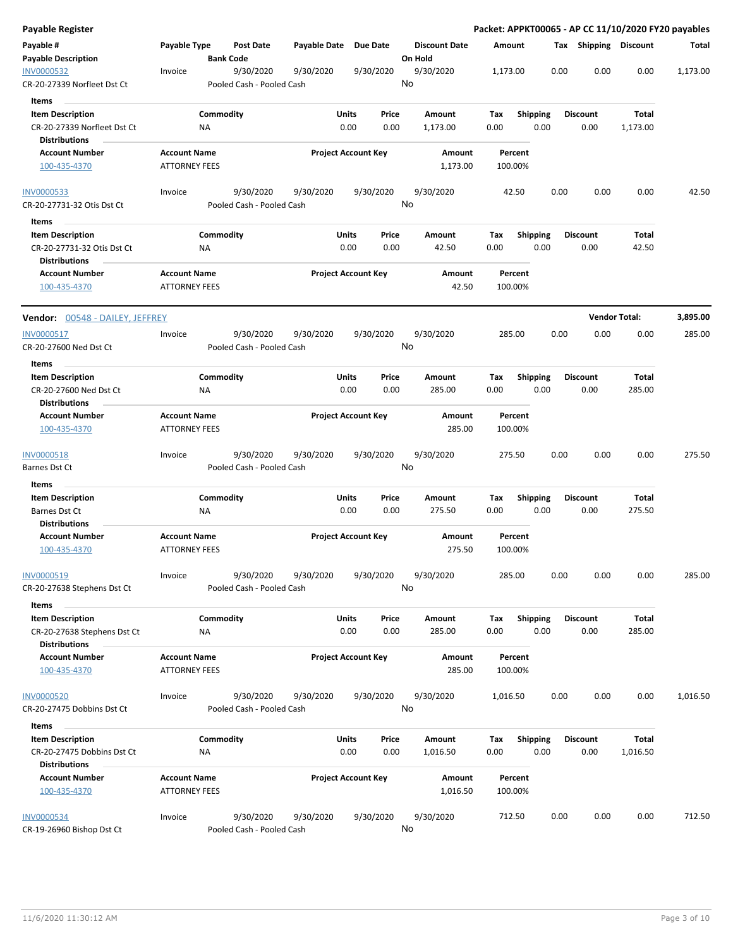| Payable Register                                                               |                                             |                                        |              |                            |                                 |                    |                         |                         | Packet: APPKT00065 - AP CC 11/10/2020 FY20 payables |          |
|--------------------------------------------------------------------------------|---------------------------------------------|----------------------------------------|--------------|----------------------------|---------------------------------|--------------------|-------------------------|-------------------------|-----------------------------------------------------|----------|
| Payable #<br><b>Payable Description</b>                                        | Payable Type                                | Post Date<br><b>Bank Code</b>          | Payable Date | <b>Due Date</b>            | <b>Discount Date</b><br>On Hold | Amount             |                         | Tax Shipping Discount   |                                                     | Total    |
| <b>INV0000532</b><br>CR-20-27339 Norfleet Dst Ct                               | Invoice                                     | 9/30/2020<br>Pooled Cash - Pooled Cash | 9/30/2020    | 9/30/2020                  | 9/30/2020<br>No                 | 1,173.00           |                         | 0.00<br>0.00            | 0.00                                                | 1,173.00 |
| <b>Items</b>                                                                   |                                             |                                        |              |                            |                                 |                    |                         |                         |                                                     |          |
| <b>Item Description</b><br>CR-20-27339 Norfleet Dst Ct<br><b>Distributions</b> |                                             | Commodity<br>ΝA                        | Units        | Price<br>0.00<br>0.00      | Amount<br>1,173.00              | Tax<br>0.00        | <b>Shipping</b><br>0.00 | <b>Discount</b><br>0.00 | Total<br>1,173.00                                   |          |
| <b>Account Number</b>                                                          | <b>Account Name</b>                         |                                        |              | <b>Project Account Key</b> |                                 | Percent            |                         |                         |                                                     |          |
| 100-435-4370                                                                   | <b>ATTORNEY FEES</b>                        |                                        |              |                            | Amount<br>1,173.00              | 100.00%            |                         |                         |                                                     |          |
| <b>INV0000533</b>                                                              | Invoice                                     | 9/30/2020                              | 9/30/2020    | 9/30/2020                  | 9/30/2020                       | 42.50              |                         | 0.00<br>0.00            | 0.00                                                | 42.50    |
| CR-20-27731-32 Otis Dst Ct                                                     |                                             | Pooled Cash - Pooled Cash              |              |                            | No                              |                    |                         |                         |                                                     |          |
| Items                                                                          |                                             |                                        |              |                            |                                 |                    |                         |                         |                                                     |          |
| <b>Item Description</b>                                                        |                                             | Commodity                              | Units        | Price                      | Amount                          | Tax                | <b>Shipping</b>         | <b>Discount</b>         | Total                                               |          |
| CR-20-27731-32 Otis Dst Ct<br><b>Distributions</b>                             |                                             | NA                                     |              | 0.00<br>0.00               | 42.50                           | 0.00               | 0.00                    | 0.00                    | 42.50                                               |          |
| <b>Account Number</b><br>100-435-4370                                          | <b>Account Name</b><br><b>ATTORNEY FEES</b> |                                        |              | <b>Project Account Key</b> | Amount<br>42.50                 | Percent<br>100.00% |                         |                         |                                                     |          |
| Vendor: 00548 - DAILEY, JEFFREY                                                |                                             |                                        |              |                            |                                 |                    |                         |                         | <b>Vendor Total:</b>                                | 3,895.00 |
| <b>INV0000517</b>                                                              | Invoice                                     | 9/30/2020                              | 9/30/2020    | 9/30/2020                  | 9/30/2020                       | 285.00             |                         | 0.00<br>0.00            | 0.00                                                | 285.00   |
| CR-20-27600 Ned Dst Ct<br>Items                                                |                                             | Pooled Cash - Pooled Cash              |              |                            | No                              |                    |                         |                         |                                                     |          |
| <b>Item Description</b>                                                        |                                             | Commodity                              | Units        | Price                      | Amount                          | Tax                | <b>Shipping</b>         | <b>Discount</b>         | Total                                               |          |
| CR-20-27600 Ned Dst Ct<br><b>Distributions</b>                                 |                                             | ΝA                                     |              | 0.00<br>0.00               | 285.00                          | 0.00               | 0.00                    | 0.00                    | 285.00                                              |          |
| <b>Account Number</b>                                                          | <b>Account Name</b>                         |                                        |              | <b>Project Account Key</b> | Amount                          | Percent            |                         |                         |                                                     |          |
| 100-435-4370                                                                   | <b>ATTORNEY FEES</b>                        |                                        |              |                            | 285.00                          | 100.00%            |                         |                         |                                                     |          |
| INV0000518                                                                     | Invoice                                     | 9/30/2020                              | 9/30/2020    | 9/30/2020                  | 9/30/2020<br>No                 | 275.50             |                         | 0.00<br>0.00            | 0.00                                                | 275.50   |
| Barnes Dst Ct                                                                  |                                             | Pooled Cash - Pooled Cash              |              |                            |                                 |                    |                         |                         |                                                     |          |
| Items                                                                          |                                             |                                        |              |                            |                                 |                    |                         |                         |                                                     |          |
| <b>Item Description</b>                                                        |                                             | Commodity                              | Units        | Price                      | Amount                          | Tax                | <b>Shipping</b>         | <b>Discount</b>         | Total                                               |          |
| Barnes Dst Ct<br><b>Distributions</b>                                          |                                             | NA                                     |              | 0.00<br>0.00               | 275.50                          | 0.00               | 0.00                    | 0.00                    | 275.50                                              |          |
| <b>Account Number</b><br>100-435-4370                                          | <b>Account Name</b><br><b>ATTORNEY FEES</b> |                                        |              | <b>Project Account Key</b> | Amount<br>275.50                | Percent<br>100.00% |                         |                         |                                                     |          |
| INV0000519<br>CR-20-27638 Stephens Dst Ct                                      | Invoice                                     | 9/30/2020<br>Pooled Cash - Pooled Cash | 9/30/2020    | 9/30/2020                  | 9/30/2020<br>No                 | 285.00             |                         | 0.00<br>0.00            | 0.00                                                | 285.00   |
|                                                                                |                                             |                                        |              |                            |                                 |                    |                         |                         |                                                     |          |
| Items                                                                          |                                             |                                        |              |                            |                                 |                    |                         |                         |                                                     |          |
| <b>Item Description</b><br>CR-20-27638 Stephens Dst Ct<br><b>Distributions</b> |                                             | Commodity<br>ΝA                        | Units        | Price<br>0.00<br>0.00      | Amount<br>285.00                | Тах<br>0.00        | Shipping<br>0.00        | <b>Discount</b><br>0.00 | Total<br>285.00                                     |          |
| <b>Account Number</b>                                                          | <b>Account Name</b>                         |                                        |              | <b>Project Account Key</b> | Amount                          | Percent            |                         |                         |                                                     |          |
| 100-435-4370                                                                   | <b>ATTORNEY FEES</b>                        |                                        |              |                            | 285.00                          | 100.00%            |                         |                         |                                                     |          |
| <b>INV0000520</b>                                                              | Invoice                                     | 9/30/2020                              | 9/30/2020    | 9/30/2020                  | 9/30/2020                       | 1,016.50           |                         | 0.00<br>0.00            | 0.00                                                | 1,016.50 |
| CR-20-27475 Dobbins Dst Ct                                                     |                                             | Pooled Cash - Pooled Cash              |              |                            | No                              |                    |                         |                         |                                                     |          |
| Items                                                                          |                                             |                                        |              |                            |                                 |                    |                         |                         |                                                     |          |
| <b>Item Description</b><br>CR-20-27475 Dobbins Dst Ct                          |                                             | Commodity<br>ΝA                        | <b>Units</b> | Price<br>0.00<br>0.00      | Amount<br>1,016.50              | Tax<br>0.00        | <b>Shipping</b><br>0.00 | <b>Discount</b><br>0.00 | Total<br>1,016.50                                   |          |
| <b>Distributions</b>                                                           |                                             |                                        |              |                            |                                 |                    |                         |                         |                                                     |          |
| <b>Account Number</b><br>100-435-4370                                          | <b>Account Name</b><br><b>ATTORNEY FEES</b> |                                        |              | <b>Project Account Key</b> | Amount<br>1,016.50              | Percent<br>100.00% |                         |                         |                                                     |          |
| <b>INV0000534</b><br>CR-19-26960 Bishop Dst Ct                                 | Invoice                                     | 9/30/2020<br>Pooled Cash - Pooled Cash | 9/30/2020    | 9/30/2020                  | 9/30/2020<br>No                 | 712.50             |                         | 0.00<br>0.00            | 0.00                                                | 712.50   |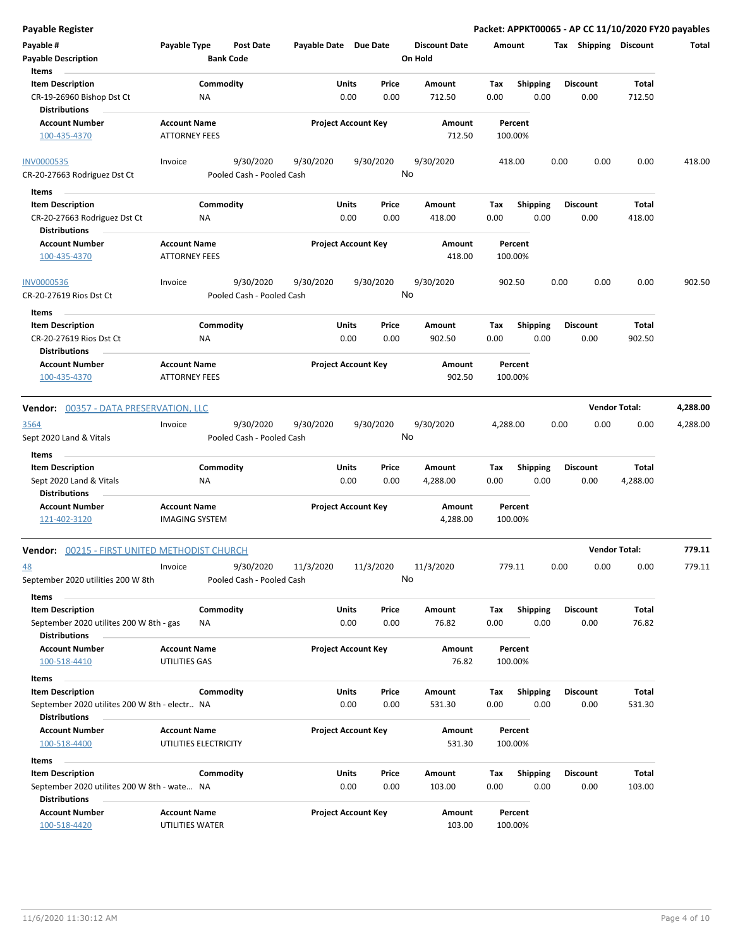| Payable #                                            | Payable Type          | <b>Post Date</b>          | Payable Date Due Date |                            |       | <b>Discount Date</b> | Amount   |                 | Tax  | Shipping        | <b>Discount</b>      | Total    |
|------------------------------------------------------|-----------------------|---------------------------|-----------------------|----------------------------|-------|----------------------|----------|-----------------|------|-----------------|----------------------|----------|
| <b>Payable Description</b>                           |                       | <b>Bank Code</b>          |                       |                            |       | On Hold              |          |                 |      |                 |                      |          |
| Items                                                |                       |                           |                       |                            |       |                      |          |                 |      |                 |                      |          |
| <b>Item Description</b>                              |                       | Commodity                 |                       | <b>Units</b>               | Price | Amount               | Tax      | <b>Shipping</b> |      | <b>Discount</b> | Total                |          |
| CR-19-26960 Bishop Dst Ct<br><b>Distributions</b>    | ΝA                    |                           |                       | 0.00                       | 0.00  | 712.50               | 0.00     | 0.00            |      | 0.00            | 712.50               |          |
| <b>Account Number</b>                                | <b>Account Name</b>   |                           |                       | <b>Project Account Key</b> |       | Amount               |          | Percent         |      |                 |                      |          |
| 100-435-4370                                         | <b>ATTORNEY FEES</b>  |                           |                       |                            |       | 712.50               |          | 100.00%         |      |                 |                      |          |
| <b>INV0000535</b>                                    | Invoice               | 9/30/2020                 | 9/30/2020             | 9/30/2020                  |       | 9/30/2020            |          | 418.00          | 0.00 | 0.00            | 0.00                 | 418.00   |
| CR-20-27663 Rodriguez Dst Ct                         |                       | Pooled Cash - Pooled Cash |                       |                            |       | No                   |          |                 |      |                 |                      |          |
| Items                                                |                       |                           |                       |                            |       |                      |          |                 |      |                 |                      |          |
| <b>Item Description</b>                              |                       | Commodity                 |                       | Units                      | Price | Amount               | Tax      | <b>Shipping</b> |      | <b>Discount</b> | Total                |          |
| CR-20-27663 Rodriguez Dst Ct<br><b>Distributions</b> | ΝA                    |                           |                       | 0.00                       | 0.00  | 418.00               | 0.00     | 0.00            |      | 0.00            | 418.00               |          |
| <b>Account Number</b>                                | <b>Account Name</b>   |                           |                       | <b>Project Account Key</b> |       | Amount               |          | Percent         |      |                 |                      |          |
| 100-435-4370                                         | <b>ATTORNEY FEES</b>  |                           |                       |                            |       | 418.00               |          | 100.00%         |      |                 |                      |          |
| <b>INV0000536</b>                                    | Invoice               | 9/30/2020                 | 9/30/2020             | 9/30/2020                  |       | 9/30/2020            |          | 902.50          | 0.00 | 0.00            | 0.00                 | 902.50   |
| CR-20-27619 Rios Dst Ct                              |                       | Pooled Cash - Pooled Cash |                       |                            |       | No                   |          |                 |      |                 |                      |          |
| Items                                                |                       |                           |                       |                            |       |                      |          |                 |      |                 |                      |          |
| <b>Item Description</b>                              |                       | Commodity                 |                       | Units                      | Price | Amount               | Tax      | <b>Shipping</b> |      | <b>Discount</b> | Total                |          |
| CR-20-27619 Rios Dst Ct                              | NA                    |                           |                       | 0.00                       | 0.00  | 902.50               | 0.00     | 0.00            |      | 0.00            | 902.50               |          |
| <b>Distributions</b>                                 |                       |                           |                       |                            |       |                      |          |                 |      |                 |                      |          |
| <b>Account Number</b>                                | <b>Account Name</b>   |                           |                       | <b>Project Account Key</b> |       | Amount               |          | Percent         |      |                 |                      |          |
| 100-435-4370                                         | <b>ATTORNEY FEES</b>  |                           |                       |                            |       | 902.50               |          | 100.00%         |      |                 |                      |          |
| Vendor: 00357 - DATA PRESERVATION, LLC               |                       |                           |                       |                            |       |                      |          |                 |      |                 | <b>Vendor Total:</b> | 4,288.00 |
| 3564                                                 | Invoice               | 9/30/2020                 | 9/30/2020             | 9/30/2020                  |       | 9/30/2020            | 4,288.00 |                 | 0.00 | 0.00            | 0.00                 | 4,288.00 |
| Sept 2020 Land & Vitals                              |                       | Pooled Cash - Pooled Cash |                       |                            |       | No                   |          |                 |      |                 |                      |          |
| Items                                                |                       |                           |                       |                            |       |                      |          |                 |      |                 |                      |          |
| <b>Item Description</b>                              |                       | Commodity                 |                       | <b>Units</b>               | Price | Amount               | Tax      | <b>Shipping</b> |      | <b>Discount</b> | Total                |          |
| Sept 2020 Land & Vitals                              | <b>NA</b>             |                           |                       | 0.00                       | 0.00  | 4,288.00             | 0.00     | 0.00            |      | 0.00            | 4,288.00             |          |
| <b>Distributions</b>                                 |                       |                           |                       |                            |       |                      |          |                 |      |                 |                      |          |
| <b>Account Number</b>                                | <b>Account Name</b>   |                           |                       | <b>Project Account Key</b> |       | Amount               |          | Percent         |      |                 |                      |          |
| 121-402-3120                                         | <b>IMAGING SYSTEM</b> |                           |                       |                            |       | 4,288.00             |          | 100.00%         |      |                 |                      |          |
| Vendor: 00215 - FIRST UNITED METHODIST CHURCH        |                       |                           |                       |                            |       |                      |          |                 |      |                 | <b>Vendor Total:</b> | 779.11   |
| <u>48</u>                                            | Invoice               | 9/30/2020                 | 11/3/2020             | 11/3/2020                  |       | 11/3/2020            |          | 779.11          | 0.00 | 0.00            | 0.00                 | 779.11   |
| September 2020 utilities 200 W 8th                   |                       | Pooled Cash - Pooled Cash |                       |                            |       | No                   |          |                 |      |                 |                      |          |
| Items                                                |                       |                           |                       |                            |       |                      |          |                 |      |                 |                      |          |
| <b>Item Description</b>                              |                       | Commodity                 |                       | <b>Units</b>               | Price | Amount               | Tax      | <b>Shipping</b> |      | <b>Discount</b> | Total                |          |
| September 2020 utilites 200 W 8th - gas              | ΝA                    |                           |                       | 0.00                       | 0.00  | 76.82                | 0.00     | 0.00            |      | 0.00            | 76.82                |          |
| <b>Distributions</b>                                 |                       |                           |                       |                            |       |                      |          |                 |      |                 |                      |          |
| <b>Account Number</b>                                | <b>Account Name</b>   |                           |                       | <b>Project Account Key</b> |       | Amount               |          | Percent         |      |                 |                      |          |
| 100-518-4410                                         | UTILITIES GAS         |                           |                       |                            |       | 76.82                |          | 100.00%         |      |                 |                      |          |
| Items                                                |                       |                           |                       |                            |       |                      |          |                 |      |                 |                      |          |
| <b>Item Description</b>                              |                       | Commodity                 |                       | <b>Units</b>               | Price | Amount               | Tax      | Shipping        |      | <b>Discount</b> | Total                |          |
| September 2020 utilites 200 W 8th - electr NA        |                       |                           |                       | 0.00                       | 0.00  | 531.30               | 0.00     | 0.00            |      | 0.00            | 531.30               |          |
| <b>Distributions</b>                                 |                       |                           |                       |                            |       |                      |          |                 |      |                 |                      |          |
| <b>Account Number</b>                                | <b>Account Name</b>   |                           |                       | <b>Project Account Key</b> |       | Amount               |          | Percent         |      |                 |                      |          |
| 100-518-4400                                         | UTILITIES ELECTRICITY |                           |                       |                            |       | 531.30               |          | 100.00%         |      |                 |                      |          |
| Items                                                |                       |                           |                       |                            |       |                      |          |                 |      |                 |                      |          |
| <b>Item Description</b>                              |                       | Commodity                 |                       | <b>Units</b>               | Price | Amount               | Tax      | <b>Shipping</b> |      | <b>Discount</b> | Total                |          |
| September 2020 utilites 200 W 8th - wate NA          |                       |                           |                       | 0.00                       | 0.00  | 103.00               | 0.00     | 0.00            |      | 0.00            | 103.00               |          |
| <b>Distributions</b>                                 |                       |                           |                       |                            |       |                      |          |                 |      |                 |                      |          |
| <b>Account Number</b>                                | <b>Account Name</b>   |                           |                       | <b>Project Account Key</b> |       | Amount               |          | Percent         |      |                 |                      |          |

100-518-4420 UTILITIES WATER 103.00 100.00%

**Payable Register Packet: APPKT00065 - AP CC 11/10/2020 FY20 payables**

11/6/2020 11:30:12 AM Page 4 of 10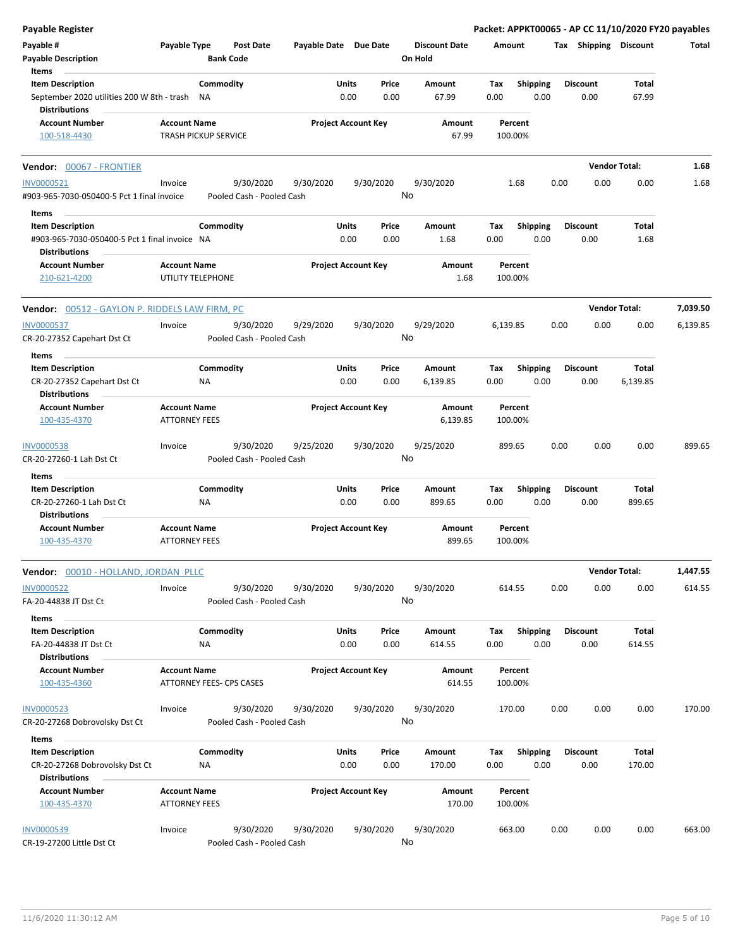| <b>Payable Register</b>                                                                       |                                                        |                        |                           |                       |                            |               |                                 |             |                         |      |                         | Packet: APPKT00065 - AP CC 11/10/2020 FY20 payables |          |
|-----------------------------------------------------------------------------------------------|--------------------------------------------------------|------------------------|---------------------------|-----------------------|----------------------------|---------------|---------------------------------|-------------|-------------------------|------|-------------------------|-----------------------------------------------------|----------|
| Payable #<br><b>Payable Description</b>                                                       | Payable Type                                           | <b>Bank Code</b>       | <b>Post Date</b>          | Payable Date Due Date |                            |               | <b>Discount Date</b><br>On Hold |             | Amount                  |      | Tax Shipping Discount   |                                                     | Total    |
| Items                                                                                         |                                                        |                        |                           |                       |                            |               |                                 |             |                         |      |                         |                                                     |          |
| <b>Item Description</b><br>September 2020 utilities 200 W 8th - trash<br><b>Distributions</b> |                                                        | Commodity<br>ΝA        |                           |                       | Units<br>0.00              | Price<br>0.00 | Amount<br>67.99                 | Tax<br>0.00 | <b>Shipping</b><br>0.00 |      | <b>Discount</b><br>0.00 | <b>Total</b><br>67.99                               |          |
| <b>Account Number</b><br>100-518-4430                                                         | <b>Account Name</b><br>TRASH PICKUP SERVICE            |                        |                           |                       | <b>Project Account Key</b> |               | Amount<br>67.99                 |             | Percent<br>100.00%      |      |                         |                                                     |          |
| <b>Vendor: 00067 - FRONTIER</b>                                                               |                                                        |                        |                           |                       |                            |               |                                 |             |                         |      |                         | <b>Vendor Total:</b>                                | 1.68     |
| <b>INV0000521</b>                                                                             | Invoice                                                |                        | 9/30/2020                 | 9/30/2020             |                            | 9/30/2020     | 9/30/2020                       |             | 1.68                    | 0.00 | 0.00                    | 0.00                                                | 1.68     |
| #903-965-7030-050400-5 Pct 1 final invoice                                                    |                                                        |                        | Pooled Cash - Pooled Cash |                       |                            |               | No                              |             |                         |      |                         |                                                     |          |
| Items                                                                                         |                                                        |                        |                           |                       |                            |               |                                 |             |                         |      |                         |                                                     |          |
| <b>Item Description</b>                                                                       |                                                        | Commodity              |                           |                       | Units                      | Price         | Amount                          | Tax         | <b>Shipping</b>         |      | <b>Discount</b>         | Total                                               |          |
| #903-965-7030-050400-5 Pct 1 final invoice NA<br><b>Distributions</b>                         |                                                        |                        |                           |                       | 0.00                       | 0.00          | 1.68                            | 0.00        | 0.00                    |      | 0.00                    | 1.68                                                |          |
| <b>Account Number</b><br>210-621-4200                                                         | <b>Account Name</b><br>UTILITY TELEPHONE               |                        |                           |                       | <b>Project Account Key</b> |               | Amount<br>1.68                  |             | Percent<br>100.00%      |      |                         |                                                     |          |
| <b>Vendor:</b> 00512 - GAYLON P. RIDDELS LAW FIRM, PC                                         |                                                        |                        |                           |                       |                            |               |                                 |             |                         |      |                         | <b>Vendor Total:</b>                                | 7,039.50 |
| <b>INV0000537</b>                                                                             | Invoice                                                |                        | 9/30/2020                 | 9/29/2020             |                            | 9/30/2020     | 9/29/2020                       | 6.139.85    |                         | 0.00 | 0.00                    | 0.00                                                | 6,139.85 |
| CR-20-27352 Capehart Dst Ct                                                                   |                                                        |                        | Pooled Cash - Pooled Cash |                       |                            |               | No                              |             |                         |      |                         |                                                     |          |
| Items                                                                                         |                                                        |                        |                           |                       |                            |               |                                 |             |                         |      |                         |                                                     |          |
| <b>Item Description</b>                                                                       |                                                        | Commodity              |                           |                       | Units                      | Price         | Amount                          | Tax         | <b>Shipping</b>         |      | <b>Discount</b>         | <b>Total</b>                                        |          |
| CR-20-27352 Capehart Dst Ct<br><b>Distributions</b>                                           |                                                        | ΝA                     |                           |                       | 0.00                       | 0.00          | 6,139.85                        | 0.00        | 0.00                    |      | 0.00                    | 6,139.85                                            |          |
| <b>Account Number</b>                                                                         | <b>Account Name</b>                                    |                        |                           |                       | <b>Project Account Key</b> |               | Amount                          |             | Percent                 |      |                         |                                                     |          |
| 100-435-4370                                                                                  | <b>ATTORNEY FEES</b>                                   |                        |                           |                       |                            |               | 6,139.85                        |             | 100.00%                 |      |                         |                                                     |          |
| <b>INV0000538</b>                                                                             | Invoice                                                |                        | 9/30/2020                 | 9/25/2020             |                            | 9/30/2020     | 9/25/2020                       |             | 899.65                  | 0.00 | 0.00                    | 0.00                                                | 899.65   |
| CR-20-27260-1 Lah Dst Ct                                                                      |                                                        |                        | Pooled Cash - Pooled Cash |                       |                            |               | No                              |             |                         |      |                         |                                                     |          |
| Items                                                                                         |                                                        |                        |                           |                       |                            |               |                                 |             |                         |      |                         |                                                     |          |
| <b>Item Description</b><br>CR-20-27260-1 Lah Dst Ct                                           |                                                        | Commodity<br><b>NA</b> |                           |                       | Units<br>0.00              | Price<br>0.00 | Amount<br>899.65                | Tax<br>0.00 | Shipping<br>0.00        |      | <b>Discount</b><br>0.00 | Total<br>899.65                                     |          |
| <b>Distributions</b><br><b>Account Number</b>                                                 | <b>Account Name</b>                                    |                        |                           |                       | <b>Project Account Key</b> |               | Amount                          |             | Percent                 |      |                         |                                                     |          |
| 100-435-4370                                                                                  | <b>ATTORNEY FEES</b>                                   |                        |                           |                       |                            |               | 899.65                          |             | 100.00%                 |      |                         |                                                     |          |
| Vendor: 00010 - HOLLAND, JORDAN PLLC                                                          |                                                        |                        |                           |                       |                            |               |                                 |             |                         |      |                         | <b>Vendor Total:</b>                                | 1,447.55 |
| <b>INV0000522</b>                                                                             | Invoice                                                |                        | 9/30/2020                 | 9/30/2020             |                            | 9/30/2020     | 9/30/2020                       |             | 614.55                  | 0.00 | 0.00                    | 0.00                                                | 614.55   |
| FA-20-44838 JT Dst Ct                                                                         |                                                        |                        | Pooled Cash - Pooled Cash |                       |                            |               | No                              |             |                         |      |                         |                                                     |          |
| Items                                                                                         |                                                        |                        |                           |                       |                            |               |                                 |             |                         |      |                         |                                                     |          |
| <b>Item Description</b>                                                                       |                                                        | Commodity              |                           |                       | Units                      | Price         | Amount                          | Tax         | <b>Shipping</b>         |      | <b>Discount</b>         | Total                                               |          |
| FA-20-44838 JT Dst Ct                                                                         |                                                        | NA                     |                           |                       | 0.00                       | 0.00          | 614.55                          | 0.00        | 0.00                    |      | 0.00                    | 614.55                                              |          |
| <b>Distributions</b>                                                                          |                                                        |                        |                           |                       |                            |               |                                 |             |                         |      |                         |                                                     |          |
| <b>Account Number</b><br>100-435-4360                                                         | <b>Account Name</b><br><b>ATTORNEY FEES- CPS CASES</b> |                        |                           |                       | <b>Project Account Key</b> |               | Amount<br>614.55                |             | Percent<br>100.00%      |      |                         |                                                     |          |
| <b>INV0000523</b>                                                                             | Invoice                                                |                        | 9/30/2020                 | 9/30/2020             |                            | 9/30/2020     | 9/30/2020                       |             | 170.00                  | 0.00 | 0.00                    | 0.00                                                | 170.00   |
| CR-20-27268 Dobrovolsky Dst Ct                                                                |                                                        |                        | Pooled Cash - Pooled Cash |                       |                            |               | No                              |             |                         |      |                         |                                                     |          |
| Items                                                                                         |                                                        |                        |                           |                       |                            |               |                                 |             |                         |      |                         |                                                     |          |
| <b>Item Description</b><br>CR-20-27268 Dobrovolsky Dst Ct                                     |                                                        | Commodity<br><b>NA</b> |                           |                       | Units<br>0.00              | Price<br>0.00 | Amount<br>170.00                | Tax<br>0.00 | <b>Shipping</b><br>0.00 |      | <b>Discount</b><br>0.00 | Total<br>170.00                                     |          |
| <b>Distributions</b>                                                                          |                                                        |                        |                           |                       |                            |               |                                 |             |                         |      |                         |                                                     |          |
| <b>Account Number</b><br>100-435-4370                                                         | <b>Account Name</b><br><b>ATTORNEY FEES</b>            |                        |                           |                       | <b>Project Account Key</b> |               | Amount<br>170.00                |             | Percent<br>100.00%      |      |                         |                                                     |          |
| <b>INV0000539</b>                                                                             | Invoice                                                |                        | 9/30/2020                 | 9/30/2020             |                            | 9/30/2020     | 9/30/2020                       |             | 663.00                  | 0.00 | 0.00                    | 0.00                                                | 663.00   |
| CR-19-27200 Little Dst Ct                                                                     |                                                        |                        | Pooled Cash - Pooled Cash |                       |                            |               | No                              |             |                         |      |                         |                                                     |          |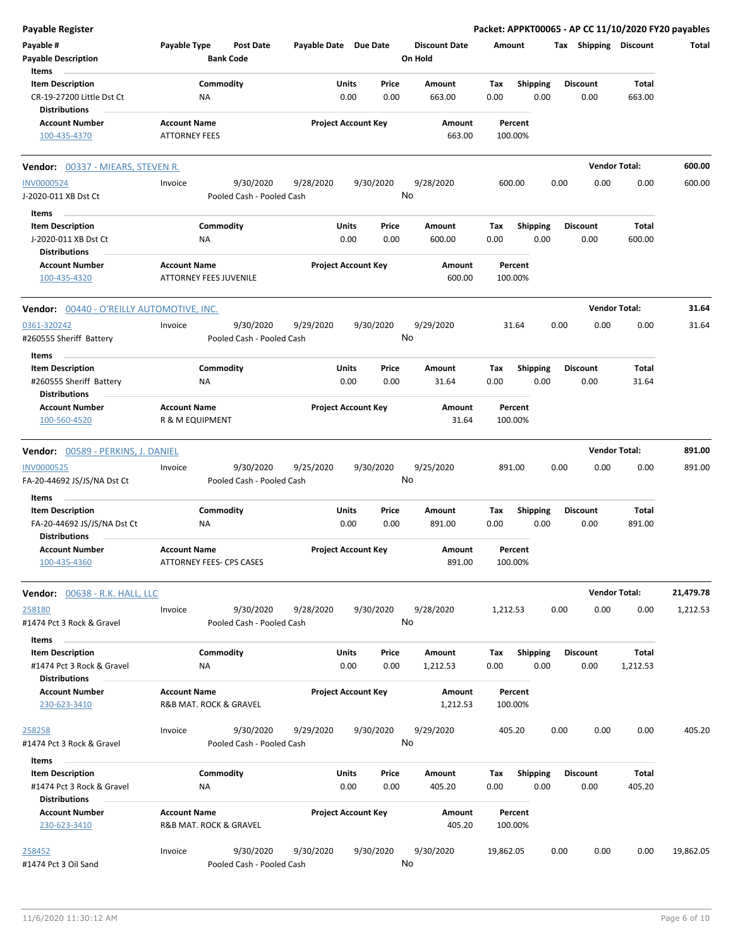| <b>Payable Register</b>                                                        |                                               |                                        |                       |                            |               |                                 |             |                         |      |                         |                        | Packet: APPKT00065 - AP CC 11/10/2020 FY20 payables |
|--------------------------------------------------------------------------------|-----------------------------------------------|----------------------------------------|-----------------------|----------------------------|---------------|---------------------------------|-------------|-------------------------|------|-------------------------|------------------------|-----------------------------------------------------|
| Payable #<br><b>Payable Description</b>                                        | Payable Type<br><b>Bank Code</b>              | <b>Post Date</b>                       | Payable Date Due Date |                            |               | <b>Discount Date</b><br>On Hold | Amount      |                         |      | Tax Shipping Discount   |                        | Total                                               |
| Items                                                                          |                                               |                                        |                       |                            |               |                                 |             |                         |      |                         |                        |                                                     |
| <b>Item Description</b><br>CR-19-27200 Little Dst Ct<br><b>Distributions</b>   | Commodity<br>NA                               |                                        |                       | Units<br>0.00              | Price<br>0.00 | Amount<br>663.00                | Tax<br>0.00 | Shipping<br>0.00        |      | <b>Discount</b><br>0.00 | <b>Total</b><br>663.00 |                                                     |
| <b>Account Number</b>                                                          | <b>Account Name</b>                           |                                        |                       | <b>Project Account Key</b> |               | Amount                          |             | Percent                 |      |                         |                        |                                                     |
| 100-435-4370                                                                   | <b>ATTORNEY FEES</b>                          |                                        |                       |                            |               | 663.00                          |             | 100.00%                 |      |                         |                        |                                                     |
| <b>Vendor:</b> 00337 - MIEARS, STEVEN R.                                       |                                               |                                        |                       |                            |               |                                 |             |                         |      |                         | <b>Vendor Total:</b>   | 600.00                                              |
| <b>INV0000524</b><br>J-2020-011 XB Dst Ct                                      | Invoice                                       | 9/30/2020<br>Pooled Cash - Pooled Cash | 9/28/2020             | 9/30/2020                  | No            | 9/28/2020                       |             | 600.00                  | 0.00 | 0.00                    | 0.00                   | 600.00                                              |
| Items                                                                          |                                               |                                        |                       |                            |               |                                 |             |                         |      |                         |                        |                                                     |
| <b>Item Description</b><br>J-2020-011 XB Dst Ct<br><b>Distributions</b>        | Commodity<br>ΝA                               |                                        |                       | Units<br>0.00              | Price<br>0.00 | Amount<br>600.00                | Tax<br>0.00 | <b>Shipping</b><br>0.00 |      | <b>Discount</b><br>0.00 | Total<br>600.00        |                                                     |
| <b>Account Number</b>                                                          | <b>Account Name</b>                           |                                        |                       | <b>Project Account Key</b> |               | Amount                          |             | Percent                 |      |                         |                        |                                                     |
| 100-435-4320                                                                   | <b>ATTORNEY FEES JUVENILE</b>                 |                                        |                       |                            |               | 600.00                          |             | 100.00%                 |      |                         |                        |                                                     |
| <b>Vendor: 00440 - O'REILLY AUTOMOTIVE, INC.</b>                               |                                               |                                        |                       |                            |               |                                 |             |                         |      | <b>Vendor Total:</b>    |                        | 31.64                                               |
| 0361-320242<br>#260555 Sheriff Battery                                         | Invoice                                       | 9/30/2020<br>Pooled Cash - Pooled Cash | 9/29/2020             | 9/30/2020                  | No            | 9/29/2020                       |             | 31.64                   | 0.00 | 0.00                    | 0.00                   | 31.64                                               |
| Items                                                                          |                                               |                                        |                       | Units                      |               |                                 |             |                         |      |                         | <b>Total</b>           |                                                     |
| <b>Item Description</b><br>#260555 Sheriff Battery<br><b>Distributions</b>     | Commodity<br>ΝA                               |                                        |                       | 0.00                       | Price<br>0.00 | Amount<br>31.64                 | Tax<br>0.00 | <b>Shipping</b><br>0.00 |      | <b>Discount</b><br>0.00 | 31.64                  |                                                     |
| <b>Account Number</b>                                                          | <b>Account Name</b>                           |                                        |                       | <b>Project Account Key</b> |               | Amount                          |             | Percent                 |      |                         |                        |                                                     |
| 100-560-4520                                                                   | R & M EQUIPMENT                               |                                        |                       |                            |               | 31.64                           |             | 100.00%                 |      |                         |                        |                                                     |
| Vendor: 00589 - PERKINS, J. DANIEL                                             |                                               |                                        |                       |                            |               |                                 |             |                         |      | <b>Vendor Total:</b>    |                        | 891.00                                              |
| INV0000525<br>FA-20-44692 JS/JS/NA Dst Ct                                      | Invoice                                       | 9/30/2020<br>Pooled Cash - Pooled Cash | 9/25/2020             | 9/30/2020                  | No            | 9/25/2020                       |             | 891.00                  | 0.00 | 0.00                    | 0.00                   | 891.00                                              |
| Items                                                                          |                                               |                                        |                       |                            |               |                                 |             |                         |      |                         |                        |                                                     |
| <b>Item Description</b><br>FA-20-44692 JS/JS/NA Dst Ct<br><b>Distributions</b> | Commodity<br>ΝA                               |                                        |                       | Units<br>0.00              | Price<br>0.00 | Amount<br>891.00                | Tax<br>0.00 | <b>Shipping</b><br>0.00 |      | <b>Discount</b><br>0.00 | Total<br>891.00        |                                                     |
| <b>Account Number</b>                                                          | <b>Account Name</b>                           |                                        |                       | <b>Project Account Key</b> |               | Amount                          |             | Percent                 |      |                         |                        |                                                     |
| 100-435-4360                                                                   | ATTORNEY FEES- CPS CASES                      |                                        |                       |                            |               | 891.00                          |             | 100.00%                 |      |                         |                        |                                                     |
| Vendor: 00638 - R.K. HALL, LLC                                                 |                                               |                                        |                       |                            |               |                                 |             |                         |      | <b>Vendor Total:</b>    |                        | 21,479.78                                           |
| 258180<br>#1474 Pct 3 Rock & Gravel                                            | Invoice                                       | 9/30/2020<br>Pooled Cash - Pooled Cash | 9/28/2020             | 9/30/2020                  | No            | 9/28/2020                       | 1,212.53    |                         | 0.00 | 0.00                    | 0.00                   | 1,212.53                                            |
| Items<br><b>Item Description</b>                                               |                                               |                                        |                       |                            |               | Amount                          |             |                         |      |                         | Total                  |                                                     |
| #1474 Pct 3 Rock & Gravel<br><b>Distributions</b>                              | Commodity<br>ΝA                               |                                        |                       | Units<br>0.00              | Price<br>0.00 | 1,212.53                        | Tax<br>0.00 | <b>Shipping</b><br>0.00 |      | <b>Discount</b><br>0.00 | 1,212.53               |                                                     |
| <b>Account Number</b><br>230-623-3410                                          | <b>Account Name</b><br>R&B MAT. ROCK & GRAVEL |                                        |                       | <b>Project Account Key</b> |               | Amount<br>1,212.53              |             | Percent<br>100.00%      |      |                         |                        |                                                     |
| 258258<br>#1474 Pct 3 Rock & Gravel                                            | Invoice                                       | 9/30/2020<br>Pooled Cash - Pooled Cash | 9/29/2020             | 9/30/2020                  | No            | 9/29/2020                       |             | 405.20                  | 0.00 | 0.00                    | 0.00                   | 405.20                                              |
| Items                                                                          |                                               |                                        |                       |                            |               |                                 |             |                         |      |                         |                        |                                                     |
| <b>Item Description</b>                                                        | Commodity                                     |                                        |                       | Units                      | Price         | Amount                          | Tax         | <b>Shipping</b>         |      | <b>Discount</b>         | Total                  |                                                     |
| #1474 Pct 3 Rock & Gravel<br><b>Distributions</b>                              | NA                                            |                                        |                       | 0.00                       | 0.00          | 405.20                          | 0.00        | 0.00                    |      | 0.00                    | 405.20                 |                                                     |
| <b>Account Number</b><br>230-623-3410                                          | <b>Account Name</b><br>R&B MAT. ROCK & GRAVEL |                                        |                       | <b>Project Account Key</b> |               | Amount<br>405.20                |             | Percent<br>100.00%      |      |                         |                        |                                                     |
| 258452<br>#1474 Pct 3 Oil Sand                                                 | Invoice                                       | 9/30/2020<br>Pooled Cash - Pooled Cash | 9/30/2020             | 9/30/2020                  | No            | 9/30/2020                       | 19,862.05   |                         | 0.00 | 0.00                    | 0.00                   | 19,862.05                                           |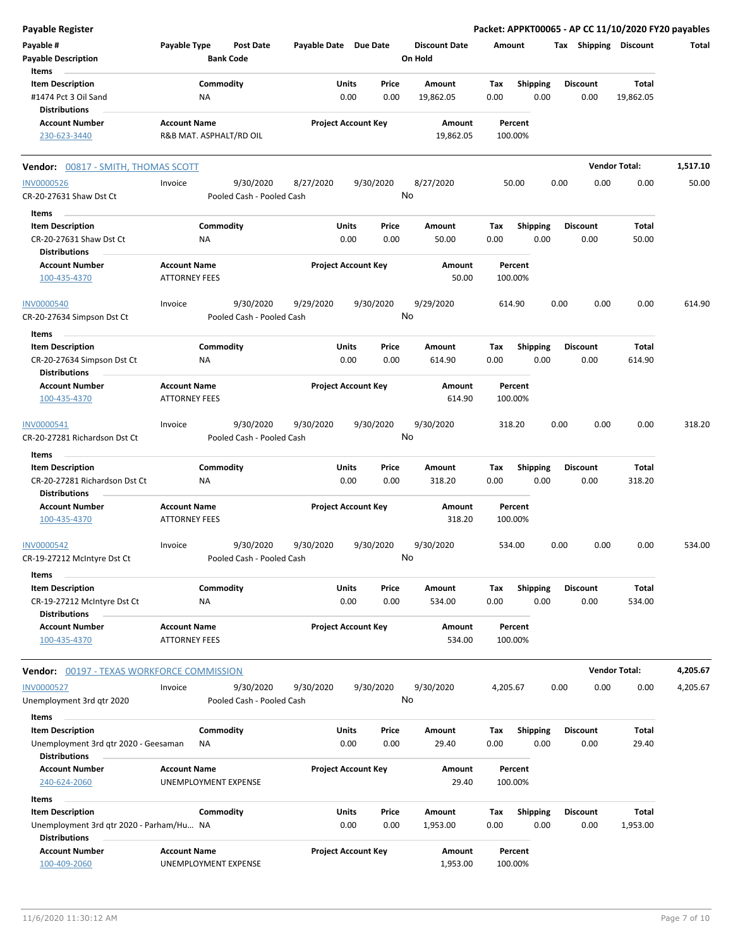| <b>Payable Register</b>                                          |                                             |                 |                                        |                       |               |                            |                      |             |                         |      |                         |                       | Packet: APPKT00065 - AP CC 11/10/2020 FY20 payables |
|------------------------------------------------------------------|---------------------------------------------|-----------------|----------------------------------------|-----------------------|---------------|----------------------------|----------------------|-------------|-------------------------|------|-------------------------|-----------------------|-----------------------------------------------------|
| Payable #                                                        | Payable Type                                |                 | <b>Post Date</b>                       | Payable Date Due Date |               |                            | <b>Discount Date</b> |             | Amount                  |      |                         | Tax Shipping Discount | Total                                               |
| <b>Payable Description</b>                                       |                                             |                 | <b>Bank Code</b>                       |                       |               |                            | On Hold              |             |                         |      |                         |                       |                                                     |
| Items                                                            |                                             |                 |                                        |                       |               |                            |                      |             |                         |      |                         |                       |                                                     |
| <b>Item Description</b>                                          |                                             | Commodity       |                                        |                       | Units         | Price                      | Amount               | Tax         | <b>Shipping</b>         |      | <b>Discount</b>         | <b>Total</b>          |                                                     |
| #1474 Pct 3 Oil Sand                                             |                                             | NA              |                                        |                       | 0.00          | 0.00                       | 19,862.05            | 0.00        | 0.00                    |      | 0.00                    | 19,862.05             |                                                     |
| <b>Distributions</b>                                             |                                             |                 |                                        |                       |               |                            |                      |             |                         |      |                         |                       |                                                     |
| <b>Account Number</b>                                            | <b>Account Name</b>                         |                 |                                        |                       |               | <b>Project Account Key</b> | Amount               |             | Percent                 |      |                         |                       |                                                     |
| 230-623-3440                                                     |                                             |                 | R&B MAT. ASPHALT/RD OIL                |                       |               |                            | 19,862.05            |             | 100.00%                 |      |                         |                       |                                                     |
| Vendor: 00817 - SMITH, THOMAS SCOTT                              |                                             |                 |                                        |                       |               |                            |                      |             |                         |      |                         | <b>Vendor Total:</b>  | 1,517.10                                            |
| <b>INV0000526</b>                                                | Invoice                                     |                 | 9/30/2020                              | 8/27/2020             |               | 9/30/2020                  | 8/27/2020            |             | 50.00                   | 0.00 | 0.00                    | 0.00                  | 50.00                                               |
| CR-20-27631 Shaw Dst Ct                                          |                                             |                 | Pooled Cash - Pooled Cash              |                       |               | No                         |                      |             |                         |      |                         |                       |                                                     |
| Items                                                            |                                             |                 |                                        |                       |               |                            |                      |             |                         |      |                         |                       |                                                     |
| <b>Item Description</b>                                          |                                             | Commodity       |                                        |                       | Units         | Price                      | Amount               | Tax         | <b>Shipping</b>         |      | <b>Discount</b>         | Total                 |                                                     |
| CR-20-27631 Shaw Dst Ct                                          |                                             | ΝA              |                                        |                       | 0.00          | 0.00                       | 50.00                | 0.00        | 0.00                    |      | 0.00                    | 50.00                 |                                                     |
| <b>Distributions</b>                                             |                                             |                 |                                        |                       |               |                            |                      |             |                         |      |                         |                       |                                                     |
| <b>Account Number</b><br>100-435-4370                            | <b>Account Name</b><br><b>ATTORNEY FEES</b> |                 |                                        |                       |               | <b>Project Account Key</b> | Amount<br>50.00      |             | Percent<br>100.00%      |      |                         |                       |                                                     |
|                                                                  |                                             |                 |                                        |                       |               |                            |                      |             |                         |      |                         |                       |                                                     |
| <b>INV0000540</b><br>CR-20-27634 Simpson Dst Ct                  | Invoice                                     |                 | 9/30/2020<br>Pooled Cash - Pooled Cash | 9/29/2020             |               | 9/30/2020<br>No            | 9/29/2020            |             | 614.90                  | 0.00 | 0.00                    | 0.00                  | 614.90                                              |
| Items                                                            |                                             |                 |                                        |                       |               |                            |                      |             |                         |      |                         |                       |                                                     |
| <b>Item Description</b>                                          |                                             | Commodity       |                                        |                       | Units         | Price                      | Amount               | Tax         | <b>Shipping</b>         |      | <b>Discount</b>         | Total                 |                                                     |
| CR-20-27634 Simpson Dst Ct                                       |                                             | ΝA              |                                        |                       | 0.00          | 0.00                       | 614.90               | 0.00        | 0.00                    |      | 0.00                    | 614.90                |                                                     |
| <b>Distributions</b>                                             |                                             |                 |                                        |                       |               |                            |                      |             |                         |      |                         |                       |                                                     |
| <b>Account Number</b>                                            | <b>Account Name</b>                         |                 |                                        |                       |               | <b>Project Account Key</b> | Amount               |             | Percent                 |      |                         |                       |                                                     |
| 100-435-4370                                                     | <b>ATTORNEY FEES</b>                        |                 |                                        |                       |               |                            | 614.90               |             | 100.00%                 |      |                         |                       |                                                     |
| INV0000541                                                       | Invoice                                     |                 | 9/30/2020                              | 9/30/2020             |               | 9/30/2020                  | 9/30/2020            |             | 318.20                  | 0.00 | 0.00                    | 0.00                  | 318.20                                              |
| CR-20-27281 Richardson Dst Ct                                    |                                             |                 | Pooled Cash - Pooled Cash              |                       |               | No                         |                      |             |                         |      |                         |                       |                                                     |
| Items                                                            |                                             |                 |                                        |                       |               |                            |                      |             |                         |      |                         |                       |                                                     |
| <b>Item Description</b><br>CR-20-27281 Richardson Dst Ct         |                                             | Commodity<br>ΝA |                                        |                       | Units<br>0.00 | Price<br>0.00              | Amount<br>318.20     | Tax<br>0.00 | <b>Shipping</b><br>0.00 |      | <b>Discount</b><br>0.00 | Total<br>318.20       |                                                     |
| <b>Distributions</b>                                             |                                             |                 |                                        |                       |               |                            |                      |             |                         |      |                         |                       |                                                     |
| <b>Account Number</b>                                            | <b>Account Name</b>                         |                 |                                        |                       |               | <b>Project Account Key</b> | Amount               |             | Percent                 |      |                         |                       |                                                     |
| 100-435-4370                                                     | <b>ATTORNEY FEES</b>                        |                 |                                        |                       |               |                            | 318.20               |             | 100.00%                 |      |                         |                       |                                                     |
| INV0000542                                                       | Invoice                                     |                 | 9/30/2020                              | 9/30/2020             |               | 9/30/2020                  | 9/30/2020            |             | 534.00                  | 0.00 | 0.00                    | 0.00                  | 534.00                                              |
| CR-19-27212 McIntyre Dst Ct                                      |                                             |                 | Pooled Cash - Pooled Cash              |                       |               | No.                        |                      |             |                         |      |                         |                       |                                                     |
| Items                                                            |                                             |                 |                                        |                       |               |                            |                      |             |                         |      |                         |                       |                                                     |
| <b>Item Description</b>                                          |                                             | Commodity       |                                        |                       | Units         | Price                      | Amount               | Tax         | <b>Shipping</b>         |      | <b>Discount</b>         | Total                 |                                                     |
| CR-19-27212 McIntyre Dst Ct                                      |                                             | ΝA              |                                        |                       | 0.00          | 0.00                       | 534.00               | 0.00        | 0.00                    |      | 0.00                    | 534.00                |                                                     |
| <b>Distributions</b>                                             |                                             |                 |                                        |                       |               |                            |                      |             |                         |      |                         |                       |                                                     |
| <b>Account Number</b>                                            | <b>Account Name</b>                         |                 |                                        |                       |               | <b>Project Account Key</b> | Amount               |             | Percent                 |      |                         |                       |                                                     |
| 100-435-4370                                                     | <b>ATTORNEY FEES</b>                        |                 |                                        |                       |               |                            | 534.00               |             | 100.00%                 |      |                         |                       |                                                     |
| <b>Vendor: 00197 - TEXAS WORKFORCE COMMISSION</b>                |                                             |                 |                                        |                       |               |                            |                      |             |                         |      |                         | <b>Vendor Total:</b>  | 4,205.67                                            |
| <b>INV0000527</b>                                                | Invoice                                     |                 | 9/30/2020                              | 9/30/2020             |               | 9/30/2020                  | 9/30/2020            | 4,205.67    |                         | 0.00 | 0.00                    | 0.00                  | 4,205.67                                            |
|                                                                  |                                             |                 | Pooled Cash - Pooled Cash              |                       |               | No                         |                      |             |                         |      |                         |                       |                                                     |
| Unemployment 3rd qtr 2020                                        |                                             |                 |                                        |                       |               |                            |                      |             |                         |      |                         |                       |                                                     |
| Items                                                            |                                             |                 |                                        |                       |               |                            |                      |             |                         |      |                         |                       |                                                     |
| <b>Item Description</b>                                          |                                             | Commodity       |                                        |                       | Units         | Price                      | Amount               | Tax         | <b>Shipping</b>         |      | <b>Discount</b>         | Total                 |                                                     |
| Unemployment 3rd qtr 2020 - Geesaman<br><b>Distributions</b>     |                                             | ΝA              |                                        |                       | 0.00          | 0.00                       | 29.40                | 0.00        | 0.00                    |      | 0.00                    | 29.40                 |                                                     |
| <b>Account Number</b>                                            | <b>Account Name</b>                         |                 |                                        |                       |               | <b>Project Account Key</b> | Amount               |             | Percent                 |      |                         |                       |                                                     |
| 240-624-2060                                                     | UNEMPLOYMENT EXPENSE                        |                 |                                        |                       |               |                            | 29.40                |             | 100.00%                 |      |                         |                       |                                                     |
| Items                                                            |                                             |                 |                                        |                       |               |                            |                      |             |                         |      |                         |                       |                                                     |
| <b>Item Description</b>                                          |                                             | Commodity       |                                        |                       | Units         | Price                      | Amount               | Tax         | <b>Shipping</b>         |      | <b>Discount</b>         | Total                 |                                                     |
| Unemployment 3rd qtr 2020 - Parham/Hu NA<br><b>Distributions</b> |                                             |                 |                                        |                       | 0.00          | 0.00                       | 1,953.00             | 0.00        | 0.00                    |      | 0.00                    | 1,953.00              |                                                     |
| <b>Account Number</b>                                            | <b>Account Name</b>                         |                 |                                        |                       |               | <b>Project Account Key</b> | Amount               |             | Percent                 |      |                         |                       |                                                     |
| 100-409-2060                                                     | UNEMPLOYMENT EXPENSE                        |                 |                                        |                       |               |                            | 1,953.00             |             | 100.00%                 |      |                         |                       |                                                     |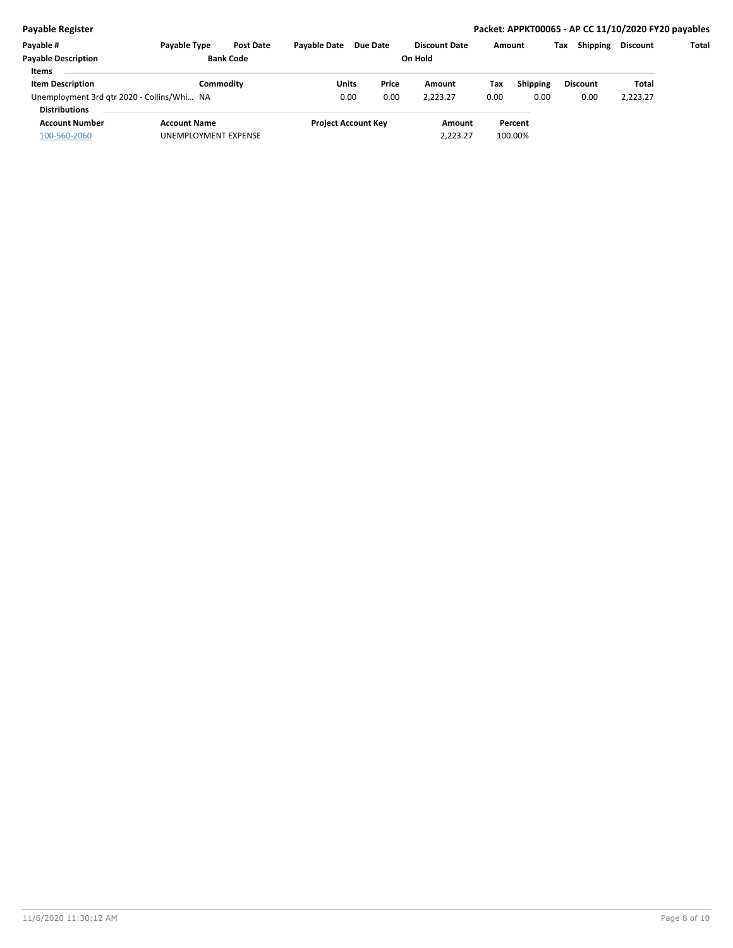## **Payable Register Packet: APPKT00065 - AP CC 11/10/2020 FY20 payables**

| Payable #                                  | <b>Pavable Type</b>  | <b>Post Date</b> | <b>Pavable Date</b> | Due Date                   | <b>Discount Date</b> |      | Amount          | Tax | <b>Shipping</b> | Discount | Total |
|--------------------------------------------|----------------------|------------------|---------------------|----------------------------|----------------------|------|-----------------|-----|-----------------|----------|-------|
| <b>Payable Description</b>                 |                      | <b>Bank Code</b> |                     | On Hold                    |                      |      |                 |     |                 |          |       |
| <b>Items</b>                               |                      |                  |                     |                            |                      |      |                 |     |                 |          |       |
| <b>Item Description</b>                    |                      | Commoditv        | Units               | Price                      | Amount               | Tax  | <b>Shipping</b> |     | <b>Discount</b> | Total    |       |
| Unemployment 3rd gtr 2020 - Collins/Whi NA |                      |                  | 0.00                | 0.00                       | 2,223.27             | 0.00 | 0.00            |     | 0.00            | 2,223.27 |       |
| <b>Distributions</b>                       |                      |                  |                     |                            |                      |      |                 |     |                 |          |       |
| <b>Account Number</b>                      | <b>Account Name</b>  |                  |                     | <b>Project Account Key</b> | Amount               |      | Percent         |     |                 |          |       |
| 100-560-2060                               | UNEMPLOYMENT EXPENSE |                  |                     |                            | 2.223.27             |      | 100.00%         |     |                 |          |       |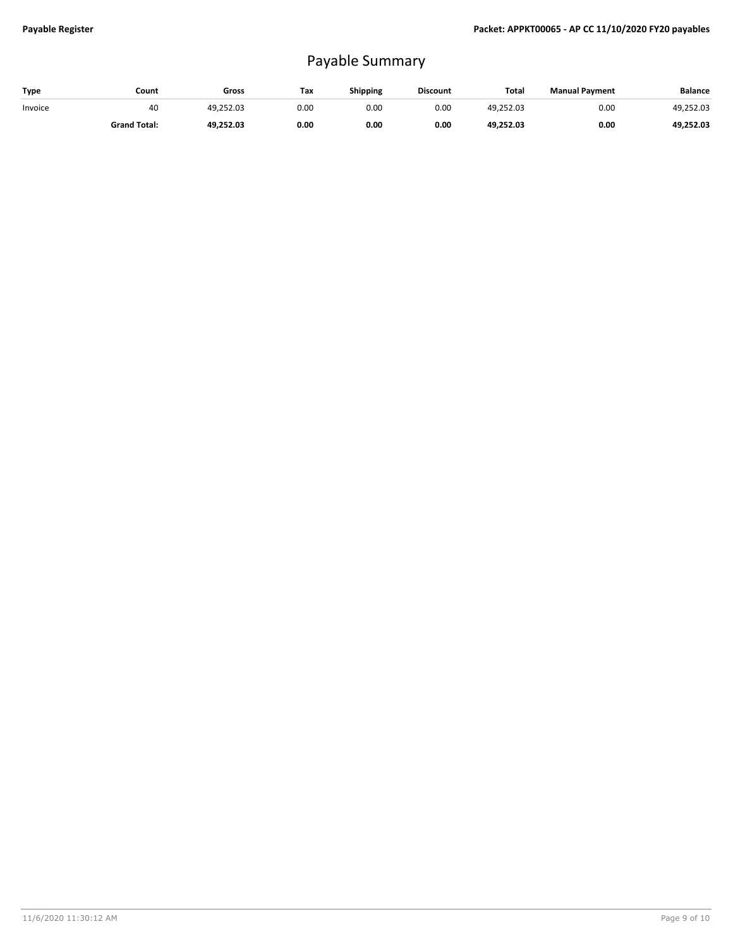## Payable Summary

| Type    | Count               | Gross     | Tax  | <b>Shipping</b> | <b>Discount</b> | <b>Total</b> | <b>Manual Payment</b> | <b>Balance</b> |
|---------|---------------------|-----------|------|-----------------|-----------------|--------------|-----------------------|----------------|
| Invoice | 40                  | 49.252.03 | 0.00 | 0.00            | 0.00            | 49.252.03    | 0.00                  | 49.252.03      |
|         | <b>Grand Total:</b> | 49.252.03 | 0.00 | 0.00            | 0.00            | 49.252.03    | 0.00                  | 49,252.03      |